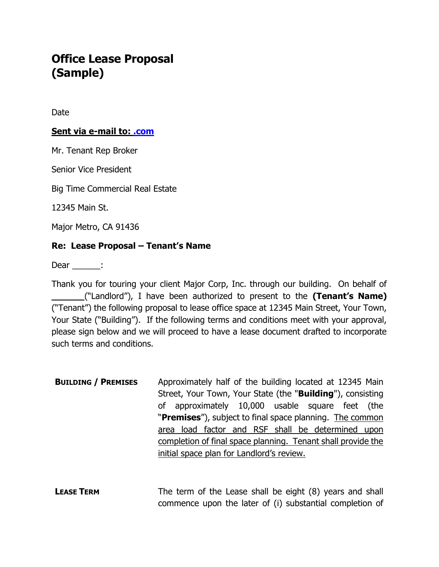## Office Lease Proposal (Sample)

Date

## Sent via e-mail to: .com

Mr. Tenant Rep Broker

Senior Vice President

Big Time Commercial Real Estate

12345 Main St.

Major Metro, CA 91436

## Re: Lease Proposal – Tenant's Name

Dear \_\_\_\_\_\_:

Thank you for touring your client Major Corp, Inc. through our building. On behalf of ("Landlord"), I have been authorized to present to the (Tenant's Name) ("Tenant") the following proposal to lease office space at 12345 Main Street, Your Town, Your State ("Building"). If the following terms and conditions meet with your approval, please sign below and we will proceed to have a lease document drafted to incorporate such terms and conditions.

**BUILDING / PREMISES** Approximately half of the building located at 12345 Main Street, Your Town, Your State (the "**Building**"), consisting of approximately 10,000 usable square feet (the "Premises"), subject to final space planning. The common area load factor and RSF shall be determined upon completion of final space planning. Tenant shall provide the initial space plan for Landlord's review.

**LEASE TERM** The term of the Lease shall be eight (8) years and shall commence upon the later of (i) substantial completion of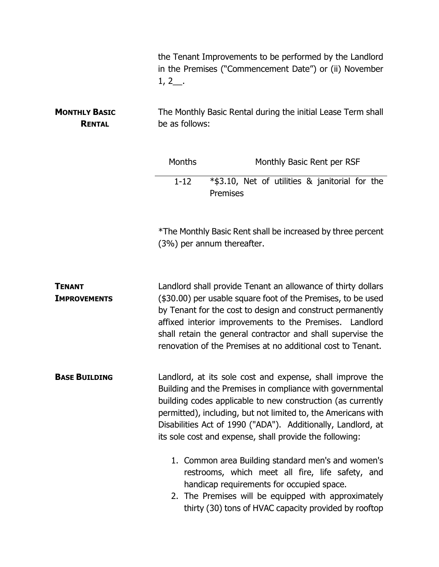|                                       | $1, 2$ .                                                                                                                                                                                                                                                                                                                                                                          | the Tenant Improvements to be performed by the Landlord<br>in the Premises ("Commencement Date") or (ii) November                                                                                                                                                                                                                                                                   |  |
|---------------------------------------|-----------------------------------------------------------------------------------------------------------------------------------------------------------------------------------------------------------------------------------------------------------------------------------------------------------------------------------------------------------------------------------|-------------------------------------------------------------------------------------------------------------------------------------------------------------------------------------------------------------------------------------------------------------------------------------------------------------------------------------------------------------------------------------|--|
| <b>MONTHLY BASIC</b><br><b>RENTAL</b> | The Monthly Basic Rental during the initial Lease Term shall<br>be as follows:                                                                                                                                                                                                                                                                                                    |                                                                                                                                                                                                                                                                                                                                                                                     |  |
|                                       | <b>Months</b><br>$1 - 12$                                                                                                                                                                                                                                                                                                                                                         | Monthly Basic Rent per RSF                                                                                                                                                                                                                                                                                                                                                          |  |
|                                       |                                                                                                                                                                                                                                                                                                                                                                                   | *\$3.10, Net of utilities & janitorial for the<br>Premises                                                                                                                                                                                                                                                                                                                          |  |
|                                       | (3%) per annum thereafter.                                                                                                                                                                                                                                                                                                                                                        | *The Monthly Basic Rent shall be increased by three percent                                                                                                                                                                                                                                                                                                                         |  |
| <b>TENANT</b><br><b>IMPROVEMENTS</b>  |                                                                                                                                                                                                                                                                                                                                                                                   | Landlord shall provide Tenant an allowance of thirty dollars<br>(\$30.00) per usable square foot of the Premises, to be used<br>by Tenant for the cost to design and construct permanently<br>affixed interior improvements to the Premises. Landlord<br>shall retain the general contractor and shall supervise the<br>renovation of the Premises at no additional cost to Tenant. |  |
| <b>BASE BUILDING</b>                  | Landlord, at its sole cost and expense, shall improve the<br>Building and the Premises in compliance with governmental<br>building codes applicable to new construction (as currently<br>permitted), including, but not limited to, the Americans with<br>Disabilities Act of 1990 ("ADA"). Additionally, Landlord, at<br>its sole cost and expense, shall provide the following: |                                                                                                                                                                                                                                                                                                                                                                                     |  |
|                                       |                                                                                                                                                                                                                                                                                                                                                                                   | 1. Common area Building standard men's and women's<br>restrooms, which meet all fire, life safety, and<br>handicap requirements for occupied space.<br>2. The Premises will be equipped with approximately<br>thirty (30) tons of HVAC capacity provided by rooftop                                                                                                                 |  |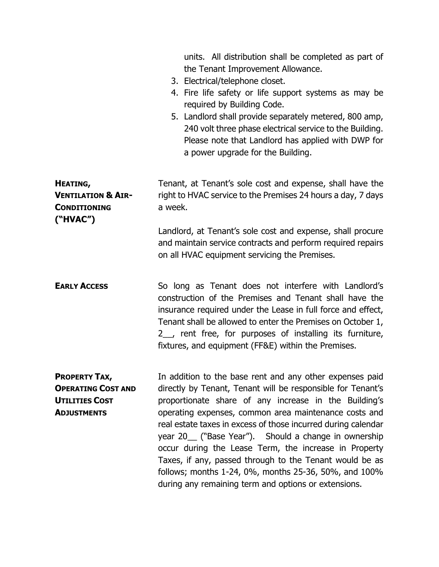|                                                                                                  | units. All distribution shall be completed as part of<br>the Tenant Improvement Allowance.<br>3. Electrical/telephone closet.<br>4. Fire life safety or life support systems as may be<br>required by Building Code.<br>5. Landlord shall provide separately metered, 800 amp,<br>240 volt three phase electrical service to the Building.<br>Please note that Landlord has applied with DWP for<br>a power upgrade for the Building.                                                                                                                                                                   |
|--------------------------------------------------------------------------------------------------|---------------------------------------------------------------------------------------------------------------------------------------------------------------------------------------------------------------------------------------------------------------------------------------------------------------------------------------------------------------------------------------------------------------------------------------------------------------------------------------------------------------------------------------------------------------------------------------------------------|
| HEATING,<br><b>VENTILATION &amp; AIR-</b><br><b>CONDITIONING</b><br>("HVAC")                     | Tenant, at Tenant's sole cost and expense, shall have the<br>right to HVAC service to the Premises 24 hours a day, 7 days<br>a week.                                                                                                                                                                                                                                                                                                                                                                                                                                                                    |
|                                                                                                  | Landlord, at Tenant's sole cost and expense, shall procure<br>and maintain service contracts and perform required repairs<br>on all HVAC equipment servicing the Premises.                                                                                                                                                                                                                                                                                                                                                                                                                              |
| <b>EARLY ACCESS</b>                                                                              | So long as Tenant does not interfere with Landlord's<br>construction of the Premises and Tenant shall have the<br>insurance required under the Lease in full force and effect,<br>Tenant shall be allowed to enter the Premises on October 1,<br>2 <sub>_,</sub> rent free, for purposes of installing its furniture,<br>fixtures, and equipment (FF&E) within the Premises.                                                                                                                                                                                                                            |
| <b>PROPERTY TAX,</b><br><b>OPERATING COST AND</b><br><b>UTILITIES COST</b><br><b>ADJUSTMENTS</b> | In addition to the base rent and any other expenses paid<br>directly by Tenant, Tenant will be responsible for Tenant's<br>proportionate share of any increase in the Building's<br>operating expenses, common area maintenance costs and<br>real estate taxes in excess of those incurred during calendar<br>year 20_ ("Base Year"). Should a change in ownership<br>occur during the Lease Term, the increase in Property<br>Taxes, if any, passed through to the Tenant would be as<br>follows; months 1-24, 0%, months 25-36, 50%, and 100%<br>during any remaining term and options or extensions. |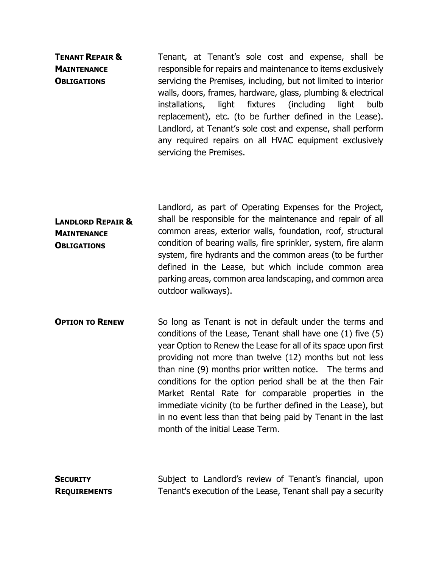TENANT REPAIR & **MAINTENANCE OBLIGATIONS** Tenant, at Tenant's sole cost and expense, shall be responsible for repairs and maintenance to items exclusively servicing the Premises, including, but not limited to interior walls, doors, frames, hardware, glass, plumbing & electrical installations, light fixtures (including light bulb replacement), etc. (to be further defined in the Lease). Landlord, at Tenant's sole cost and expense, shall perform any required repairs on all HVAC equipment exclusively servicing the Premises.

- LANDLORD REPAIR & **MAINTENANCE OBLIGATIONS** Landlord, as part of Operating Expenses for the Project, shall be responsible for the maintenance and repair of all common areas, exterior walls, foundation, roof, structural condition of bearing walls, fire sprinkler, system, fire alarm system, fire hydrants and the common areas (to be further defined in the Lease, but which include common area parking areas, common area landscaping, and common area outdoor walkways).
- **OPTION TO RENEW** So long as Tenant is not in default under the terms and conditions of the Lease, Tenant shall have one (1) five (5) year Option to Renew the Lease for all of its space upon first providing not more than twelve (12) months but not less than nine (9) months prior written notice. The terms and conditions for the option period shall be at the then Fair Market Rental Rate for comparable properties in the immediate vicinity (to be further defined in the Lease), but in no event less than that being paid by Tenant in the last month of the initial Lease Term.

**SECURITY REQUIREMENTS**  Subject to Landlord's review of Tenant's financial, upon Tenant's execution of the Lease, Tenant shall pay a security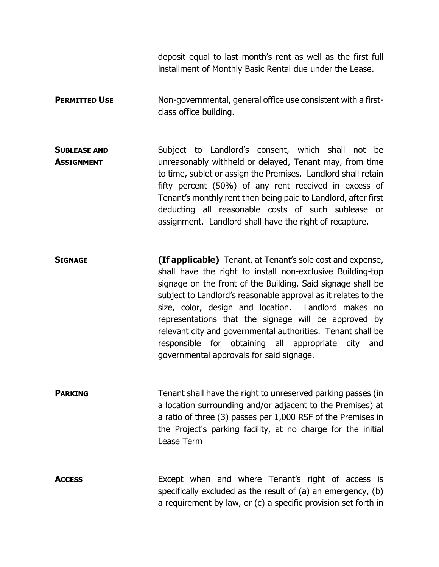deposit equal to last month's rent as well as the first full installment of Monthly Basic Rental due under the Lease.

**PERMITTED USE** Non-governmental, general office use consistent with a firstclass office building.

SUBLEASE AND **ASSIGNMENT** Subject to Landlord's consent, which shall not be unreasonably withheld or delayed, Tenant may, from time to time, sublet or assign the Premises. Landlord shall retain fifty percent (50%) of any rent received in excess of Tenant's monthly rent then being paid to Landlord, after first deducting all reasonable costs of such sublease or assignment. Landlord shall have the right of recapture.

SIGNAGE (If applicable) Tenant, at Tenant's sole cost and expense, shall have the right to install non-exclusive Building-top signage on the front of the Building. Said signage shall be subject to Landlord's reasonable approval as it relates to the size, color, design and location. Landlord makes no representations that the signage will be approved by relevant city and governmental authorities. Tenant shall be responsible for obtaining all appropriate city and governmental approvals for said signage.

**PARKING** Tenant shall have the right to unreserved parking passes (in a location surrounding and/or adjacent to the Premises) at a ratio of three (3) passes per 1,000 RSF of the Premises in the Project's parking facility, at no charge for the initial Lease Term

Access **Except** when and where Tenant's right of access is specifically excluded as the result of (a) an emergency, (b) a requirement by law, or (c) a specific provision set forth in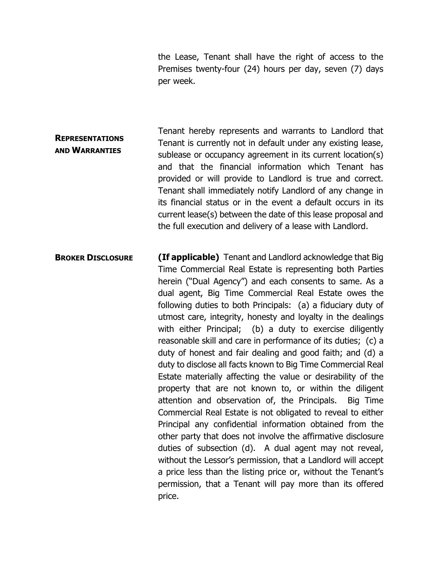the Lease, Tenant shall have the right of access to the Premises twenty-four (24) hours per day, seven (7) days per week.

- **REPRESENTATIONS** AND WARRANTIES Tenant hereby represents and warrants to Landlord that Tenant is currently not in default under any existing lease, sublease or occupancy agreement in its current location(s) and that the financial information which Tenant has provided or will provide to Landlord is true and correct. Tenant shall immediately notify Landlord of any change in its financial status or in the event a default occurs in its current lease(s) between the date of this lease proposal and the full execution and delivery of a lease with Landlord.
- **BROKER DISCLOSURE (If applicable)** Tenant and Landlord acknowledge that Big Time Commercial Real Estate is representing both Parties herein ("Dual Agency") and each consents to same. As a dual agent, Big Time Commercial Real Estate owes the following duties to both Principals: (a) a fiduciary duty of utmost care, integrity, honesty and loyalty in the dealings with either Principal; (b) a duty to exercise diligently reasonable skill and care in performance of its duties; (c) a duty of honest and fair dealing and good faith; and (d) a duty to disclose all facts known to Big Time Commercial Real Estate materially affecting the value or desirability of the property that are not known to, or within the diligent attention and observation of, the Principals. Big Time Commercial Real Estate is not obligated to reveal to either Principal any confidential information obtained from the other party that does not involve the affirmative disclosure duties of subsection (d). A dual agent may not reveal, without the Lessor's permission, that a Landlord will accept a price less than the listing price or, without the Tenant's permission, that a Tenant will pay more than its offered price.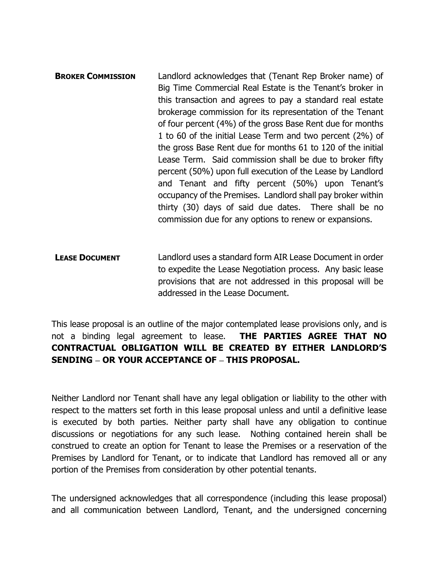- **BROKER COMMISSION** Landlord acknowledges that (Tenant Rep Broker name) of Big Time Commercial Real Estate is the Tenant's broker in this transaction and agrees to pay a standard real estate brokerage commission for its representation of the Tenant of four percent (4%) of the gross Base Rent due for months 1 to 60 of the initial Lease Term and two percent (2%) of the gross Base Rent due for months 61 to 120 of the initial Lease Term. Said commission shall be due to broker fifty percent (50%) upon full execution of the Lease by Landlord and Tenant and fifty percent (50%) upon Tenant's occupancy of the Premises. Landlord shall pay broker within thirty (30) days of said due dates. There shall be no commission due for any options to renew or expansions.
- LEASE DOCUMENT Landlord uses a standard form AIR Lease Document in order to expedite the Lease Negotiation process. Any basic lease provisions that are not addressed in this proposal will be addressed in the Lease Document.

This lease proposal is an outline of the major contemplated lease provisions only, and is not a binding legal agreement to lease. THE PARTIES AGREE THAT NO CONTRACTUAL OBLIGATION WILL BE CREATED BY EITHER LANDLORD'S SENDING - OR YOUR ACCEPTANCE OF - THIS PROPOSAL.

Neither Landlord nor Tenant shall have any legal obligation or liability to the other with respect to the matters set forth in this lease proposal unless and until a definitive lease is executed by both parties. Neither party shall have any obligation to continue discussions or negotiations for any such lease. Nothing contained herein shall be construed to create an option for Tenant to lease the Premises or a reservation of the Premises by Landlord for Tenant, or to indicate that Landlord has removed all or any portion of the Premises from consideration by other potential tenants.

The undersigned acknowledges that all correspondence (including this lease proposal) and all communication between Landlord, Tenant, and the undersigned concerning